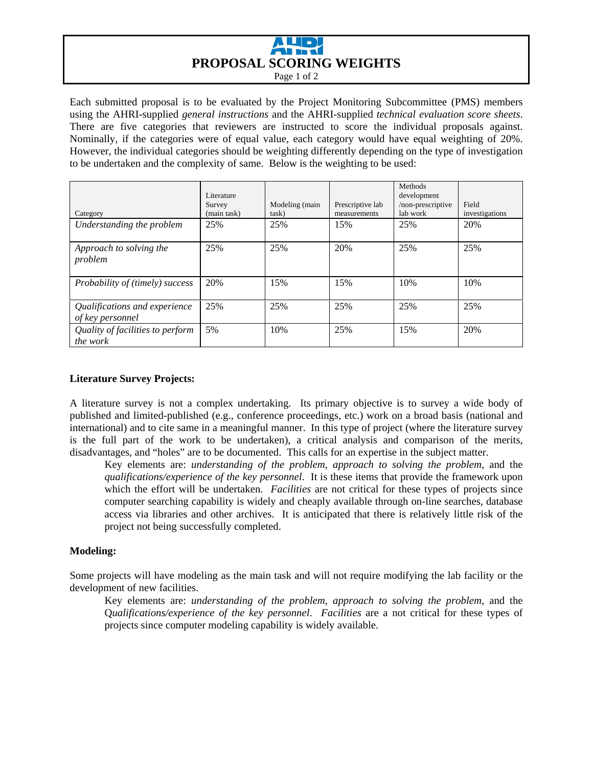

Page 1 of 2

Each submitted proposal is to be evaluated by the Project Monitoring Subcommittee (PMS) members using the AHRI-supplied *general instructions* and the AHRI-supplied *technical evaluation score sheets*. There are five categories that reviewers are instructed to score the individual proposals against. Nominally, if the categories were of equal value, each category would have equal weighting of 20%. However, the individual categories should be weighting differently depending on the type of investigation to be undertaken and the complexity of same. Below is the weighting to be used:

| Category                                            | Literature<br>Survey<br>(main task) | Modeling (main<br>task) | Prescriptive lab<br>measurements | Methods<br>development<br>/non-prescriptive<br>lab work | Field<br>investigations |
|-----------------------------------------------------|-------------------------------------|-------------------------|----------------------------------|---------------------------------------------------------|-------------------------|
| Understanding the problem                           | 25%                                 | 25%                     | 15%                              | 25%                                                     | 20%                     |
| Approach to solving the<br>problem                  | 25%                                 | 25%                     | 20%                              | 25%                                                     | 25%                     |
| Probability of (timely) success                     | 20%                                 | 15%                     | 15%                              | 10%                                                     | 10%                     |
| Qualifications and experience<br>of key personnel   | 25%                                 | 25%                     | 25%                              | 25%                                                     | 25%                     |
| Quality of facilities to perform<br><i>the work</i> | 5%                                  | 10%                     | 25%                              | 15%                                                     | 20%                     |

# **Literature Survey Projects:**

A literature survey is not a complex undertaking. Its primary objective is to survey a wide body of published and limited-published (e.g., conference proceedings, etc.) work on a broad basis (national and international) and to cite same in a meaningful manner. In this type of project (where the literature survey is the full part of the work to be undertaken), a critical analysis and comparison of the merits, disadvantages, and "holes" are to be documented. This calls for an expertise in the subject matter.

Key elements are: *understanding of the problem*, *approach to solving the problem*, and the *qualifications/experience of the key personnel*. It is these items that provide the framework upon which the effort will be undertaken. *Facilities* are not critical for these types of projects since computer searching capability is widely and cheaply available through on-line searches, database access via libraries and other archives. It is anticipated that there is relatively little risk of the project not being successfully completed.

## **Modeling:**

Some projects will have modeling as the main task and will not require modifying the lab facility or the development of new facilities.

Key elements are: *understanding of the problem*, *approach to solving the problem*, and the Q*ualifications/experience of the key personnel*. *Facilities* are a not critical for these types of projects since computer modeling capability is widely available.